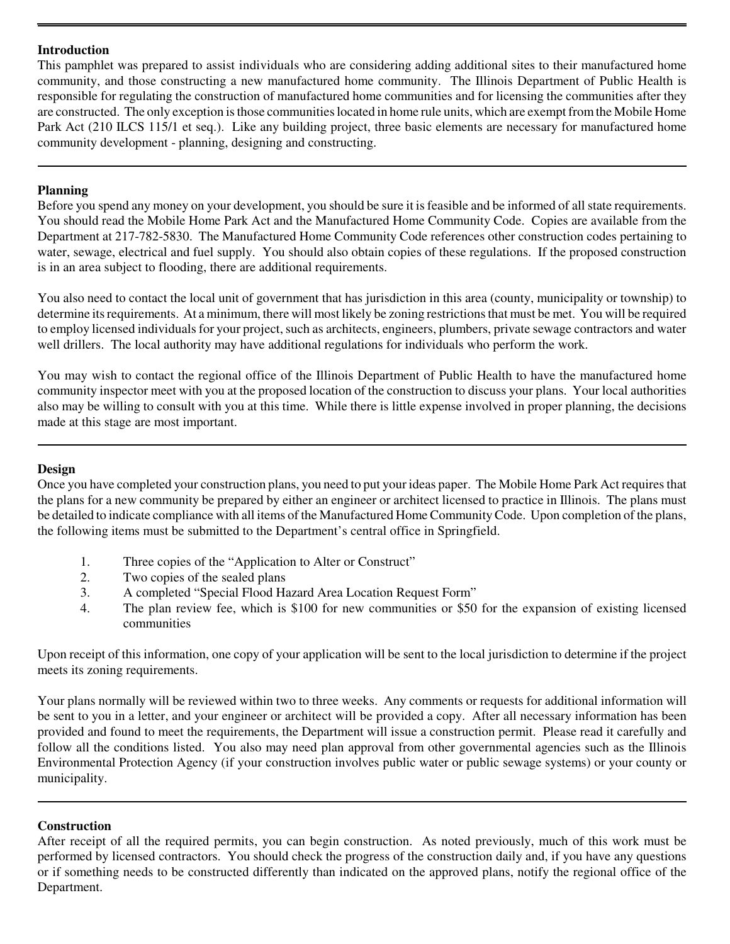## **Introduction**

This pamphlet was prepared to assist individuals who are considering adding additional sites to their manufactured home community, and those constructing a new manufactured home community. The Illinois Department of Public Health is responsible for regulating the construction of manufactured home communities and for licensing the communities after they are constructed. The only exception is those communities located in home rule units, which are exempt from the Mobile Home Park Act (210 ILCS 115/1 et seq.). Like any building project, three basic elements are necessary for manufactured home community development - planning, designing and constructing.

# **Planning**

Before you spend any money on your development, you should be sure it is feasible and be informed of all state requirements. You should read the Mobile Home Park Act and the Manufactured Home Community Code. Copies are available from the Department at 217-782-5830. The Manufactured Home Community Code references other construction codes pertaining to water, sewage, electrical and fuel supply. You should also obtain copies of these regulations. If the proposed construction is in an area subject to flooding, there are additional requirements.

You also need to contact the local unit of government that has jurisdiction in this area (county, municipality or township) to determine its requirements. At a minimum, there will most likely be zoning restrictions that must be met. You will be required to employ licensed individuals for your project, such as architects, engineers, plumbers, private sewage contractors and water well drillers. The local authority may have additional regulations for individuals who perform the work.

You may wish to contact the regional office of the Illinois Department of Public Health to have the manufactured home community inspector meet with you at the proposed location of the construction to discuss your plans. Your local authorities also may be willing to consult with you at this time. While there is little expense involved in proper planning, the decisions made at this stage are most important.

### **Design**

Once you have completed your construction plans, you need to put your ideas paper. The Mobile Home Park Act requires that the plans for a new community be prepared by either an engineer or architect licensed to practice in Illinois. The plans must be detailed to indicate compliance with all items of the Manufactured Home Community Code. Upon completion of the plans, the following items must be submitted to the Department's central office in Springfield.

- 1. Three copies of the "Application to Alter or Construct"
- 2. Two copies of the sealed plans
- 3. A completed "Special Flood Hazard Area Location Request Form"
- 4. The plan review fee, which is \$100 for new communities or \$50 for the expansion of existing licensed communities

Upon receipt of this information, one copy of your application will be sent to the local jurisdiction to determine if the project meets its zoning requirements.

Your plans normally will be reviewed within two to three weeks. Any comments or requests for additional information will be sent to you in a letter, and your engineer or architect will be provided a copy. After all necessary information has been provided and found to meet the requirements, the Department will issue a construction permit. Please read it carefully and follow all the conditions listed. You also may need plan approval from other governmental agencies such as the Illinois Environmental Protection Agency (if your construction involves public water or public sewage systems) or your county or municipality.

## **Construction**

After receipt of all the required permits, you can begin construction. As noted previously, much of this work must be performed by licensed contractors. You should check the progress of the construction daily and, if you have any questions or if something needs to be constructed differently than indicated on the approved plans, notify the regional office of the Department.